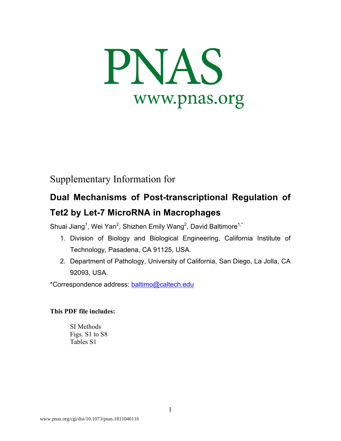

## Supplementary Information for

# **Dual Mechanisms of Post-transcriptional Regulation of Tet2 by Let-7 MicroRNA in Macrophages**

Shuai Jiang<sup>1</sup>, Wei Yan<sup>2</sup>, Shizhen Emily Wang<sup>2</sup>, David Baltimore<sup>1,\*</sup>

- 1. Division of Biology and Biological Engineering, California Institute of Technology, Pasadena, CA 91125, USA.
- 2. Department of Pathology, University of California, San Diego, La Jolla, CA 92093, USA.

\*Correspondence address: baltimo@caltech.edu

### **This PDF file includes:**

SI Methods Figs. S1 to S8 Tables S1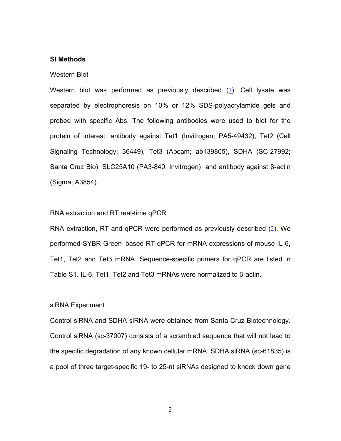#### **SI Methods**

#### Western Blot

Western blot was performed as previously described (1). Cell lysate was separated by electrophoresis on 10% or 12% SDS-polyacrylamide gels and probed with specific Abs. The following antibodies were used to blot for the protein of interest: antibody against Tet1 (Invitrogen; PA5-49432), Tet2 (Cell Signaling Technology; 36449), Tet3 (Abcam; ab139805), SDHA (SC-27992; Santa Cruz Bio), SLC25A10 (PA3-840; Invitrogen) and antibody against β-actin (Sigma; A3854).

#### RNA extraction and RT real-time qPCR

RNA extraction, RT and qPCR were performed as previously described (2). We performed SYBR Green–based RT-qPCR for mRNA expressions of mouse IL-6, Tet1, Tet2 and Tet3 mRNA. Sequence-specific primers for qPCR are listed in Table S1. IL-6, Tet1, Tet2 and Tet3 mRNAs were normalized to β-actin.

#### siRNA Experiment

Control siRNA and SDHA siRNA were obtained from Santa Cruz Biotechnology. Control siRNA (sc-37007) consists of a scrambled sequence that will not lead to the specific degradation of any known cellular mRNA. SDHA siRNA (sc-61835) is a pool of three target-specific 19- to 25-nt siRNAs designed to knock down gene

2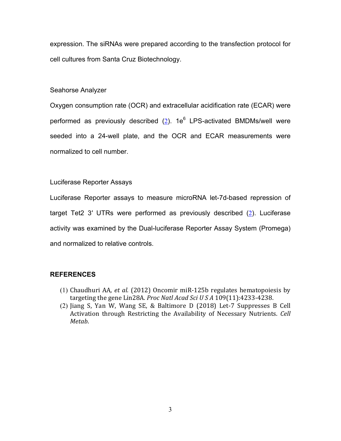expression. The siRNAs were prepared according to the transfection protocol for cell cultures from Santa Cruz Biotechnology.

#### Seahorse Analyzer

Oxygen consumption rate (OCR) and extracellular acidification rate (ECAR) were performed as previously described  $(2)$ . 1e<sup>6</sup> LPS-activated BMDMs/well were seeded into a 24-well plate, and the OCR and ECAR measurements were normalized to cell number.

#### Luciferase Reporter Assays

Luciferase Reporter assays to measure microRNA let-7d-based repression of target Tet2 3′ UTRs were performed as previously described (2). Luciferase activity was examined by the Dual-luciferase Reporter Assay System (Promega) and normalized to relative controls.

#### **REFERENCES**

- (1) Chaudhuri AA, et al. (2012) Oncomir miR-125b regulates hematopoiesis by targeting the gene Lin28A. Proc Natl Acad Sci U S A 109(11):4233-4238.
- (2) Jiang S, Yan W, Wang SE, & Baltimore D (2018) Let-7 Suppresses B Cell Activation through Restricting the Availability of Necessary Nutrients. *Cell Metab*.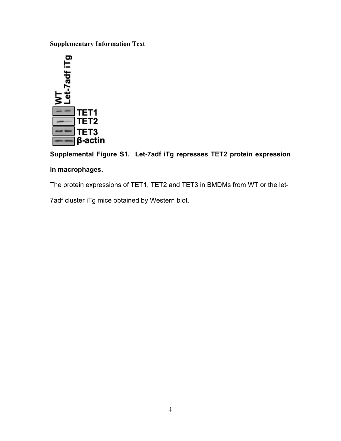**Supplementary Information Text**



**Supplemental Figure S1. Let-7adf iTg represses TET2 protein expression in macrophages.**

The protein expressions of TET1, TET2 and TET3 in BMDMs from WT or the let-

7adf cluster iTg mice obtained by Western blot.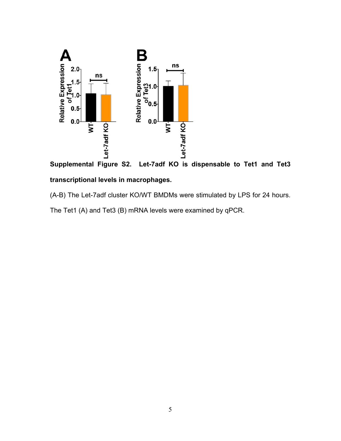



# (A-B) The Let-7adf cluster KO/WT BMDMs were stimulated by LPS for 24 hours.

The Tet1 (A) and Tet3 (B) mRNA levels were examined by qPCR.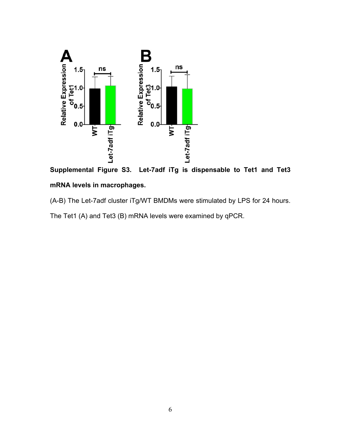

**Supplemental Figure S3. Let-7adf iTg is dispensable to Tet1 and Tet3 mRNA levels in macrophages.**

(A-B) The Let-7adf cluster iTg/WT BMDMs were stimulated by LPS for 24 hours.

The Tet1 (A) and Tet3 (B) mRNA levels were examined by qPCR.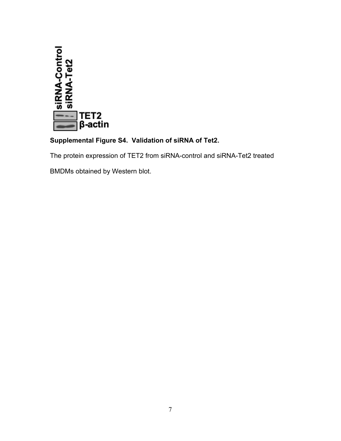

### **Supplemental Figure S4. Validation of siRNA of Tet2.**

The protein expression of TET2 from siRNA-control and siRNA-Tet2 treated

BMDMs obtained by Western blot.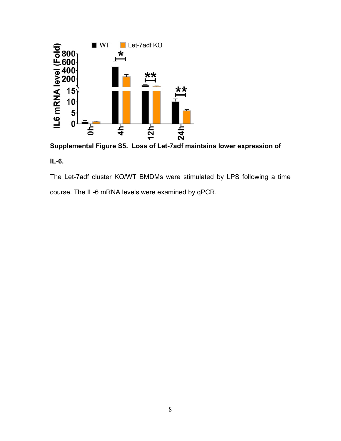

**Supplemental Figure S5. Loss of Let-7adf maintains lower expression of** 

### **IL-6.**

The Let-7adf cluster KO/WT BMDMs were stimulated by LPS following a time course. The IL-6 mRNA levels were examined by qPCR.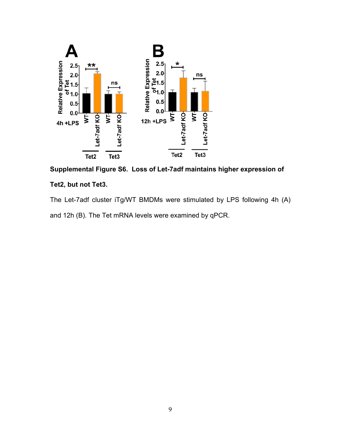

**Supplemental Figure S6. Loss of Let-7adf maintains higher expression of** 

### **Tet2, but not Tet3.**

The Let-7adf cluster iTg/WT BMDMs were stimulated by LPS following 4h (A) and 12h (B). The Tet mRNA levels were examined by qPCR.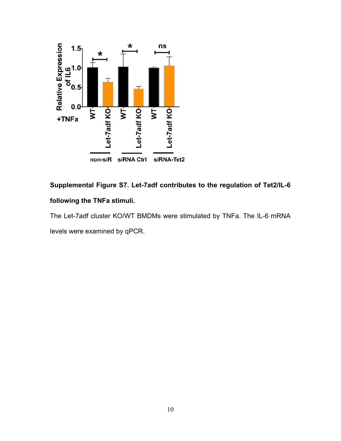

# **Supplemental Figure S7. Let-7adf contributes to the regulation of Tet2/IL-6 following the TNFa stimuli.**

The Let-7adf cluster KO/WT BMDMs were stimulated by TNFa. The IL-6 mRNA levels were examined by qPCR.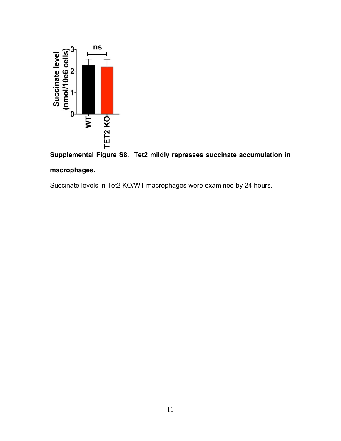

# **Supplemental Figure S8. Tet2 mildly represses succinate accumulation in macrophages.**

Succinate levels in Tet2 KO/WT macrophages were examined by 24 hours.